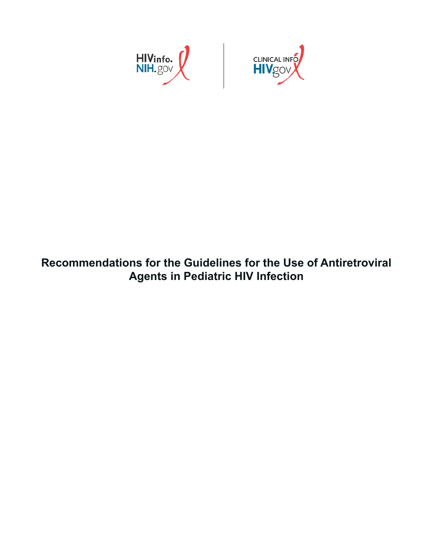

## **Recommendations for the Guidelines for the Use of Antiretroviral Agents in Pediatric HIV Infection**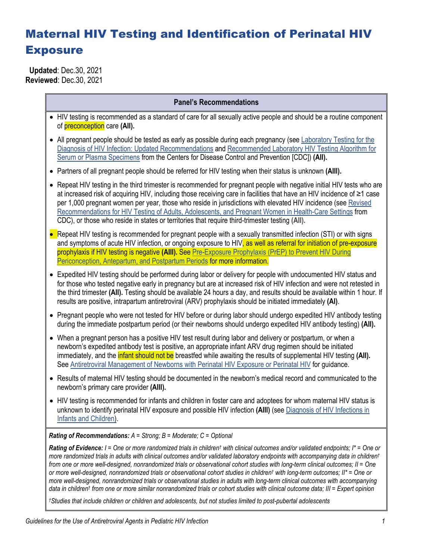# Maternal HIV Testing and Identification of Perinatal HIV **Exposure**

 **Updated**: Dec.30, 2021 **Reviewed**: Dec.30, 2021

### **Panel's Recommendations**

- HIV testing is recommended as a standard of care for all sexually active people and should be a routine component of preconception care **(AII).**
- All pregnant people should be tested as early as possible during each pregnancy (see Laboratory Testing for the [Diagnosis of HIV Infection: Updated Recommendations](https://stacks.cdc.gov/view/cdc/23447) an[d Recommended Laboratory HIV Testing Algorithm for](https://stacks.cdc.gov/view/cdc/50872)  [Serum or Plasma Specimens](https://stacks.cdc.gov/view/cdc/50872) from the Centers for Disease Control and Prevention [CDC]) **(AII).**
- Partners of all pregnant people should be referred for HIV testing when their status is unknown **(AIII).**
- Repeat HIV testing in the third trimester is recommended for pregnant people with negative initial HIV tests who are at increased risk of acquiring HIV, including those receiving care in facilities that have an HIV incidence of ≥1 case per 1,000 pregnant women per year, those who reside in jurisdictions with elevated HIV incidence (se[e Revised](https://www.cdc.gov/mmwr/preview/mmwrhtml/rr5514a1.htm)  [Recommendations for HIV Testing of Adults, Adolescents, and Pregnant Women in Health-Care Settings](https://www.cdc.gov/mmwr/preview/mmwrhtml/rr5514a1.htm) from CDC), or those who reside in states or territories that require third-trimester testing **(AII).**
- Repeat HIV testing is recommended for pregnant people with a sexually transmitted infection (STI) or with signs and symptoms of acute HIV infection, or ongoing exposure to HIV, as well as referral for initiation of pre-exposure prophylaxis if HIV testing is negative **(AIII).** See [Pre-Exposure Prophylaxis \(PrEP\) to Prevent](https://clinicalinfo.hiv.gov/en/guidelines/perinatal/prep?view=full) HIV During [Periconception, Antepartum, and Postpartum Periods](https://clinicalinfo.hiv.gov/en/guidelines/perinatal/prep?view=full) for more information.
- Expedited HIV testing should be performed during labor or delivery for people with undocumented HIV status and for those who tested negative early in pregnancy but are at increased risk of HIV infection and were not retested in the third trimester **(AII).** Testing should be available 24 hours a day, and results should be available within 1 hour. If results are positive, intrapartum antiretroviral (ARV) prophylaxis should be initiated immediately **(AI)**.
- Pregnant people who were not tested for HIV before or during labor should undergo expedited HIV antibody testing during the immediate postpartum period (or their newborns should undergo expedited HIV antibody testing) **(AII).**
- When a pregnant person has a positive HIV test result during labor and delivery or postpartum, or when a newborn's expedited antibody test is positive, an appropriate infant ARV drug regimen should be initiated immediately, and the infant should not be breastfed while awaiting the results of supplemental HIV testing **(AII).** See Antiretroviral Management [of Newborns with Perinatal HIV Exposure or Perinatal HIV](https://clinicalinfo.hiv.gov/en/guidelines/perinatal/antiretroviral-management-newborns-perinatal-hiv-exposure-or-hiv-infection?view=full) for guidance.
- Results of maternal HIV testing should be documented in the newborn's medical record and communicated to the newborn's primary care provider **(AIII).**
- HIV testing is recommended for infants and children in foster care and adoptees for whom maternal HIV status is unknown to identify perinatal HIV exposure and possible HIV infection **(AIII)** (se[e Diagnosis of HIV Infections in](https://clinicalinfo.hiv.gov/en/guidelines/perinatal/diagnosis-hiv-infection-infants-and-children?view=full)  [Infants and Children\)](https://clinicalinfo.hiv.gov/en/guidelines/perinatal/diagnosis-hiv-infection-infants-and-children?view=full).

*Rating of Recommendations: A = Strong; B = Moderate; C = Optional*

*Rating of Evidence: I = One or more randomized trials in children† with clinical outcomes and/or validated endpoints; I\* = One or more randomized trials in adults with clinical outcomes and/or validated laboratory endpoints with accompanying data in children† from one or more well-designed, nonrandomized trials or observational cohort studies with long-term clinical outcomes; II = One or more well-designed, nonrandomized trials or observational cohort studies in children† with long-term outcomes; II\* = One or more well-designed, nonrandomized trials or observational studies in adults with long-term clinical outcomes with accompanying data in children† from one or more similar nonrandomized trials or cohort studies with clinical outcome data; III = Expert opinion*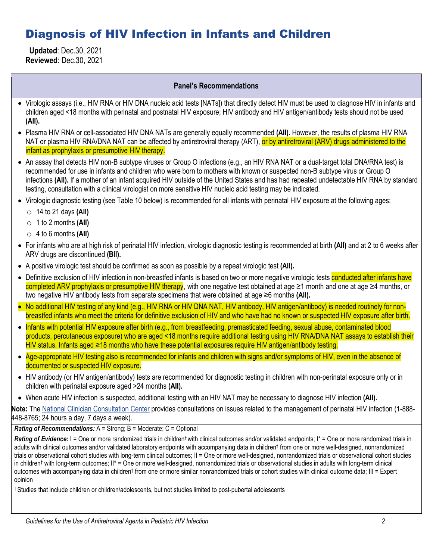### Diagnosis of HIV Infection in Infants and Children

 **Updated**: Dec.30, 2021 **Reviewed**: Dec.30, 2021

### **Panel's Recommendations**

- Virologic assays (i.e., HIV RNA or HIV DNA nucleic acid tests [NATs]) that directly detect HIV must be used to diagnose HIV in infants and children aged <18 months with perinatal and postnatal HIV exposure; HIV antibody and HIV antigen/antibody tests should not be used **(AII).**
- Plasma HIV RNA or cell-associated HIV DNA NATs are generally equally recommended **(AII).** However, the results of plasma HIV RNA NAT or plasma HIV RNA/DNA NAT can be affected by antiretroviral therapy (ART), or by antiretroviral (ARV) drugs administered to the infant as prophylaxis or presumptive HIV therapy.
- An assay that detects HIV non-B subtype viruses or Group O infections (e.g., an HIV RNA NAT or a dual-target total DNA/RNA test) is recommended for use in infants and children who were born to mothers with known or suspected non-B subtype virus or Group O infections **(AII).** If a mother of an infant acquired HIV outside of the United States and has had repeated undetectable HIV RNA by standard testing, consultation with a clinical virologist on more sensitive HIV nucleic acid testing may be indicated.
- Virologic diagnostic testing (see Table 10 below) is recommended for all infants with perinatal HIV exposure at the following ages:
	- o 14 to 21 days **(AII)**
	- o 1 to 2 months **(AII)**
	- o 4 to 6 months **(AII)**
- For infants who are at high risk of perinatal HIV infection, virologic diagnostic testing is recommended at birth **(AII)** and at 2 to 6 weeks after ARV drugs are discontinued **(BII).**
- A positive virologic test should be confirmed as soon as possible by a repeat virologic test **(AII).**
- Definitive exclusion of HIV infection in non-breastfed infants is based on two or more negative virologic tests conducted after infants have completed ARV prophylaxis or presumptive HIV therapy, with one negative test obtained at age ≥1 month and one at age ≥4 months, or two negative HIV antibody tests from separate specimens that were obtained at age ≥6 months **(AII).**
- No additional HIV testing of any kind (e.g., HIV RNA or HIV DNA NAT, HIV antibody, HIV antigen/antibody) is needed routinely for nonbreastfed infants who meet the criteria for definitive exclusion of HIV and who have had no known or suspected HIV exposure after birth.
- Infants with potential HIV exposure after birth (e.g., from breastfeeding, premasticated feeding, sexual abuse, contaminated blood products, percutaneous exposure) who are aged <18 months require additional testing using HIV RNA/DNA NAT assays to establish their HIV status. Infants aged ≥18 months who have these potential exposures require HIV antigen/antibody testing.
- Age-appropriate HIV testing also is recommended for infants and children with signs and/or symptoms of HIV, even in the absence of documented or suspected HIV exposure.
- HIV antibody (or HIV antigen/antibody) tests are recommended for diagnostic testing in children with non-perinatal exposure only or in children with perinatal exposure aged >24 months **(AII).**
- When acute HIV infection is suspected, additional testing with an HIV NAT may be necessary to diagnose HIV infection **(AII).**

**Note:** Th[e National Clinician Consultation Center](http://nccc.ucsf.edu/clinician-consultation/perinatal-hiv-aids/) provides consultations on issues related to the management of perinatal HIV infection (1-888- 448-8765; 24 hours a day, 7 days a week).

*Rating of Recommendations:* A = Strong; B = Moderate; C = Optional

Rating of Evidence: I = One or more randomized trials in children<sup>t</sup> with clinical outcomes and/or validated endpoints; I\* = One or more randomized trials in adults with clinical outcomes and/or validated laboratory endpoints with accompanying data in children† from one or more well-designed, nonrandomized trials or observational cohort studies with long-term clinical outcomes; II = One or more well-designed, nonrandomized trials or observational cohort studies in children† with long-term outcomes; II\* = One or more well-designed, nonrandomized trials or observational studies in adults with long-term clinical outcomes with accompanying data in children† from one or more similar nonrandomized trials or cohort studies with clinical outcome data; III = Expert opinion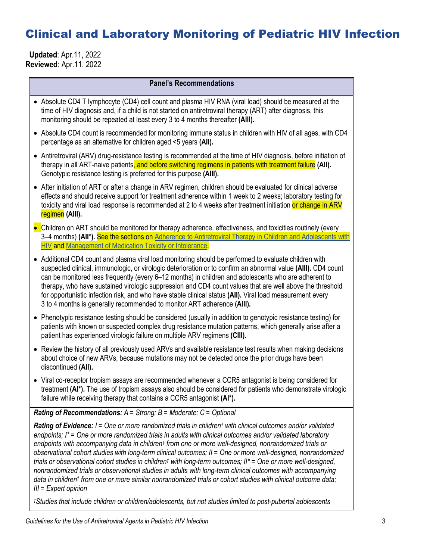### Clinical and Laboratory Monitoring of Pediatric HIV Infection

 **Updated**: Apr.11, 2022 **Reviewed**: Apr.11, 2022

| <b>Panel's Recommendations</b>                                                                                                                                                                                                                                                                                                                                                                                                                                                                                                                                                                                                                                                                                                                                                                                                                                              |
|-----------------------------------------------------------------------------------------------------------------------------------------------------------------------------------------------------------------------------------------------------------------------------------------------------------------------------------------------------------------------------------------------------------------------------------------------------------------------------------------------------------------------------------------------------------------------------------------------------------------------------------------------------------------------------------------------------------------------------------------------------------------------------------------------------------------------------------------------------------------------------|
| • Absolute CD4 T lymphocyte (CD4) cell count and plasma HIV RNA (viral load) should be measured at the<br>time of HIV diagnosis and, if a child is not started on antiretroviral therapy (ART) after diagnosis, this<br>monitoring should be repeated at least every 3 to 4 months thereafter (AIII).                                                                                                                                                                                                                                                                                                                                                                                                                                                                                                                                                                       |
| • Absolute CD4 count is recommended for monitoring immune status in children with HIV of all ages, with CD4<br>percentage as an alternative for children aged <5 years (All).                                                                                                                                                                                                                                                                                                                                                                                                                                                                                                                                                                                                                                                                                               |
| • Antiretroviral (ARV) drug-resistance testing is recommended at the time of HIV diagnosis, before initiation of<br>therapy in all ART-naive patients, and before switching regimens in patients with treatment failure (AII).<br>Genotypic resistance testing is preferred for this purpose (AIII).                                                                                                                                                                                                                                                                                                                                                                                                                                                                                                                                                                        |
| • After initiation of ART or after a change in ARV regimen, children should be evaluated for clinical adverse<br>effects and should receive support for treatment adherence within 1 week to 2 weeks; laboratory testing for<br>toxicity and viral load response is recommended at 2 to 4 weeks after treatment initiation or change in ARV<br>regimen (AIII).                                                                                                                                                                                                                                                                                                                                                                                                                                                                                                              |
| • Children on ART should be monitored for therapy adherence, effectiveness, and toxicities routinely (every<br>3–4 months) (All*). See the sections on Adherence to Antiretroviral Therapy in Children and Adolescents with<br>HIV and Management of Medication Toxicity or Intolerance.                                                                                                                                                                                                                                                                                                                                                                                                                                                                                                                                                                                    |
| • Additional CD4 count and plasma viral load monitoring should be performed to evaluate children with<br>suspected clinical, immunologic, or virologic deterioration or to confirm an abnormal value (AIII). CD4 count<br>can be monitored less frequently (every 6-12 months) in children and adolescents who are adherent to<br>therapy, who have sustained virologic suppression and CD4 count values that are well above the threshold<br>for opportunistic infection risk, and who have stable clinical status (AII). Viral load measurement every<br>3 to 4 months is generally recommended to monitor ART adherence (AIII).                                                                                                                                                                                                                                          |
| Phenotypic resistance testing should be considered (usually in addition to genotypic resistance testing) for<br>patients with known or suspected complex drug resistance mutation patterns, which generally arise after a<br>patient has experienced virologic failure on multiple ARV regimens (CIII).                                                                                                                                                                                                                                                                                                                                                                                                                                                                                                                                                                     |
| • Review the history of all previously used ARVs and available resistance test results when making decisions<br>about choice of new ARVs, because mutations may not be detected once the prior drugs have been<br>discontinued (All).                                                                                                                                                                                                                                                                                                                                                                                                                                                                                                                                                                                                                                       |
| • Viral co-receptor tropism assays are recommended whenever a CCR5 antagonist is being considered for<br>treatment (AI*). The use of tropism assays also should be considered for patients who demonstrate virologic<br>failure while receiving therapy that contains a CCR5 antagonist (AI*).                                                                                                                                                                                                                                                                                                                                                                                                                                                                                                                                                                              |
| <b>Rating of Recommendations:</b> $A =$ Strong; $B =$ Moderate; $C =$ Optional                                                                                                                                                                                                                                                                                                                                                                                                                                                                                                                                                                                                                                                                                                                                                                                              |
| Rating of Evidence: I = One or more randomized trials in children <sup>t</sup> with clinical outcomes and/or validated<br>endpoints; I* = One or more randomized trials in adults with clinical outcomes and/or validated laboratory<br>endpoints with accompanying data in children <sup>†</sup> from one or more well-designed, nonrandomized trials or<br>observational cohort studies with long-term clinical outcomes; II = One or more well-designed, nonrandomized<br>trials or observational cohort studies in children <sup>†</sup> with long-term outcomes; II* = One or more well-designed,<br>nonrandomized trials or observational studies in adults with long-term clinical outcomes with accompanying<br>data in children <sup>t</sup> from one or more similar nonrandomized trials or cohort studies with clinical outcome data;<br>$III = Expert opinion$ |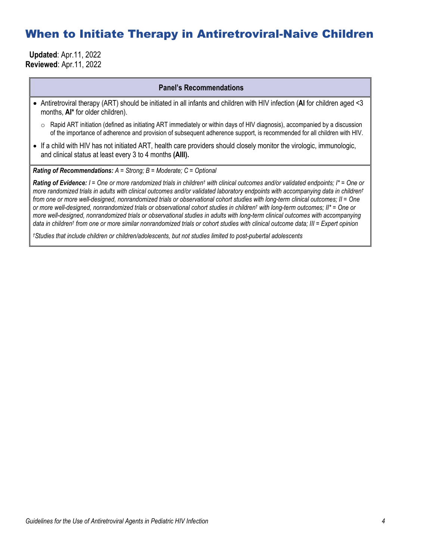### When to Initiate Therapy in Antiretroviral-Naive Children

 **Updated**: Apr.11, 2022 **Reviewed**: Apr.11, 2022

#### **Panel's Recommendations**

- Antiretroviral therapy (ART) should be initiated in all infants and children with HIV infection (**AI** for children aged <3 months, **AI\*** for older children).
	- $\circ$  Rapid ART initiation (defined as initiating ART immediately or within days of HIV diagnosis), accompanied by a discussion of the importance of adherence and provision of subsequent adherence support, is recommended for all children with HIV.
- If a child with HIV has not initiated ART, health care providers should closely monitor the virologic, immunologic, and clinical status at least every 3 to 4 months **(AIII).**

*Rating of Recommendations: A = Strong; B = Moderate; C = Optional*

*Rating of Evidence: I = One or more randomized trials in children† with clinical outcomes and/or validated endpoints; I\* = One or more randomized trials in adults with clinical outcomes and/or validated laboratory endpoints with accompanying data in children† from one or more well-designed, nonrandomized trials or observational cohort studies with long-term clinical outcomes; II = One or more well-designed, nonrandomized trials or observational cohort studies in children† with long-term outcomes; II\* = One or more well-designed, nonrandomized trials or observational studies in adults with long-term clinical outcomes with accompanying data in children† from one or more similar nonrandomized trials or cohort studies with clinical outcome data; III = Expert opinion*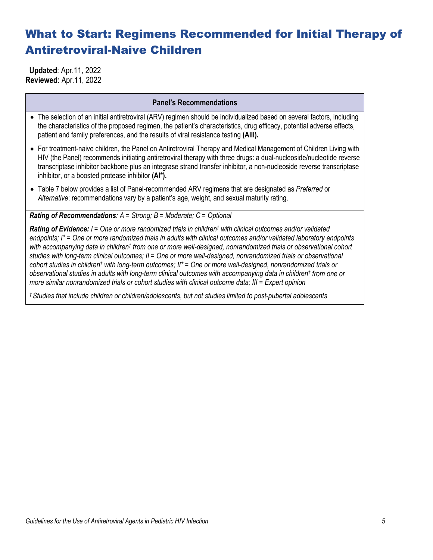# What to Start: Regimens Recommended for Initial Therapy of Antiretroviral-Naive Children

 **Updated**: Apr.11, 2022 **Reviewed**: Apr.11, 2022

#### **Panel's Recommendations**

- The selection of an initial antiretroviral (ARV) regimen should be individualized based on several factors, including the characteristics of the proposed regimen, the patient's characteristics, drug efficacy, potential adverse effects, patient and family preferences, and the results of viral resistance testing **(AIII).**
- For treatment-naive children, the Panel on Antiretroviral Therapy and Medical Management of Children Living with HIV (the Panel) recommends initiating antiretroviral therapy with three drugs: a dual-nucleoside/nucleotide reverse transcriptase inhibitor backbone plus an integrase strand transfer inhibitor, a non-nucleoside reverse transcriptase inhibitor, or a boosted protease inhibitor **(AI\*).**
- Table 7 below provides a list of Panel-recommended ARV regimens that are designated as *Preferred* or *Alternative*; recommendations vary by a patient's age, weight, and sexual maturity rating.

*Rating of Recommendations: A = Strong; B = Moderate; C = Optional*

*Rating of Evidence: I = One or more randomized trials in children† with clinical outcomes and/or validated endpoints; I\* = One or more randomized trials in adults with clinical outcomes and/or validated laboratory endpoints with accompanying data in children† from one or more well-designed, nonrandomized trials or observational cohort studies with long-term clinical outcomes; II = One or more well-designed, nonrandomized trials or observational cohort studies in children† with long-term outcomes; II\* = One or more well-designed, nonrandomized trials or observational studies in adults with long-term clinical outcomes with accompanying data in children† from one or more similar nonrandomized trials or cohort studies with clinical outcome data; III = Expert opinion*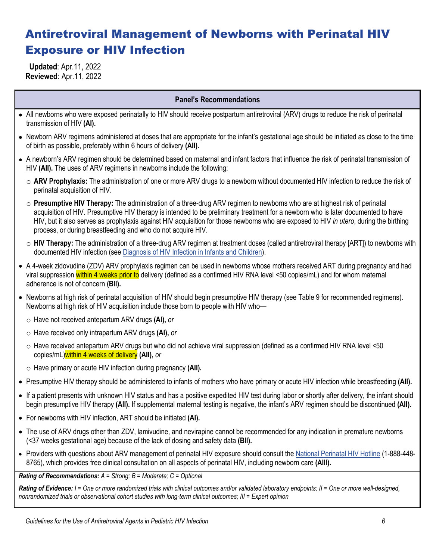# Antiretroviral Management of Newborns with Perinatal HIV Exposure or HIV Infection

 **Updated**: Apr.11, 2022 **Reviewed**: Apr.11, 2022

### **Panel's Recommendations**

- All newborns who were exposed perinatally to HIV should receive postpartum antiretroviral (ARV) drugs to reduce the risk of perinatal transmission of HIV **(AI).**
- Newborn ARV regimens administered at doses that are appropriate for the infant's gestational age should be initiated as close to the time of birth as possible, preferably within 6 hours of delivery **(AII).**
- A newborn's ARV regimen should be determined based on maternal and infant factors that influence the risk of perinatal transmission of HIV **(AII).** The uses of ARV regimens in newborns include the following:
	- o **ARV Prophylaxis:** The administration of one or more ARV drugs to a newborn without documented HIV infection to reduce the risk of perinatal acquisition of HIV.
	- o **Presumptive HIV Therapy:** The administration of a three-drug ARV regimen to newborns who are at highest risk of perinatal acquisition of HIV. Presumptive HIV therapy is intended to be preliminary treatment for a newborn who is later documented to have HIV, but it also serves as prophylaxis against HIV acquisition for those newborns who are exposed to HIV *in utero*, during the birthing process, or during breastfeeding and who do not acquire HIV.
	- o **HIV Therapy:** The administration of a three-drug ARV regimen at treatment doses (called antiretroviral therapy [ART]) to newborns with documented HIV infection (see [Diagnosis of HIV Infection in Infants and Children\)](https://clinicalinfo.hiv.gov/en/guidelines/perinatal/diagnosis-hiv-infection-infants-and-children).
- A 4-week zidovudine (ZDV) ARV prophylaxis regimen can be used in newborns whose mothers received ART during pregnancy and had viral suppression within 4 weeks prior to delivery (defined as a confirmed HIV RNA level <50 copies/mL) and for whom maternal adherence is not of concern **(BII).**
- Newborns at high risk of perinatal acquisition of HIV should begin presumptive HIV therapy (see Table 9 for recommended regimens). Newborns at high risk of HIV acquisition include those born to people with HIV who
	- o Have not received antepartum ARV drugs **(AI),** *or*
	- o Have received only intrapartum ARV drugs **(AI),** *or*
	- o Have received antepartum ARV drugs but who did not achieve viral suppression (defined as a confirmed HIV RNA level <50 copies/mL)within 4 weeks of delivery **(AII),** *or*
	- o Have primary or acute HIV infection during pregnancy **(AII).**
- Presumptive HIV therapy should be administered to infants of mothers who have primary or acute HIV infection while breastfeeding **(AII).**
- If a patient presents with unknown HIV status and has a positive expedited HIV test during labor or shortly after delivery, the infant should begin presumptive HIV therapy **(AII).** If supplemental maternal testing is negative, the infant's ARV regimen should be discontinued **(AII).**
- For newborns with HIV infection, ART should be initiated **(AI).**
- The use of ARV drugs other than ZDV, lamivudine, and nevirapine cannot be recommended for any indication in premature newborns (<37 weeks gestational age) because of the lack of dosing and safety data **(BII).**
- Providers with questions about ARV management of perinatal HIV exposure should consult the [National Perinatal HIV Hotline](https://nccc.ucsf.edu/clinician-consultation/perinatal-hiv-aids/) (1-888-448-8765), which provides free clinical consultation on all aspects of perinatal HIV, including newborn care **(AIII).**

*Rating of Recommendations: A = Strong; B = Moderate; C = Optional*

*Rating of Evidence: I = One or more randomized trials with clinical outcomes and/or validated laboratory endpoints; II = One or more well-designed, nonrandomized trials or observational cohort studies with long-term clinical outcomes; III = Expert opinion*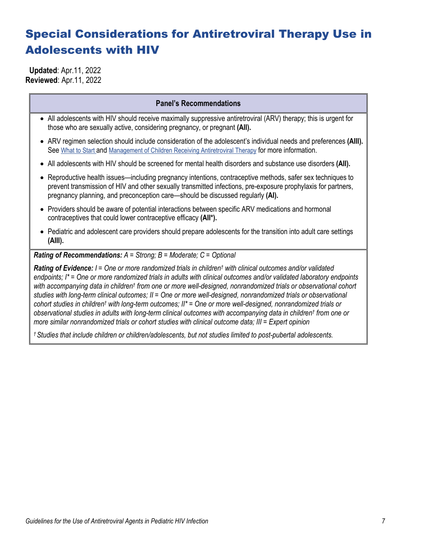# Special Considerations for Antiretroviral Therapy Use in Adolescents with HIV

 **Updated**: Apr.11, 2022 **Reviewed**: Apr.11, 2022

#### **Panel's Recommendations**

- All adolescents with HIV should receive maximally suppressive antiretroviral (ARV) therapy; this is urgent for those who are sexually active, considering pregnancy, or pregnant **(AII).**
- ARV regimen selection should include consideration of the adolescent's individual needs and preferences **(AIII).** See [What to Start](https://clinicalinfo.hiv.gov/en/guidelines/pediatric-arv/regimens-recommended-initial-therapy-antiretroviral-naive-children) and [Management of Children Receiving Antiretroviral Therapy](https://clinicalinfo.hiv.gov/en/guidelines/pediatric-arv/overview-2) for more information.
- All adolescents with HIV should be screened for mental health disorders and substance use disorders **(AII).**
- Reproductive health issues—including pregnancy intentions, contraceptive methods, safer sex techniques to prevent transmission of HIV and other sexually transmitted infections, pre-exposure prophylaxis for partners, pregnancy planning, and preconception care—should be discussed regularly **(AI).**
- Providers should be aware of potential interactions between specific ARV medications and hormonal contraceptives that could lower contraceptive efficacy **(AII\*).**
- Pediatric and adolescent care providers should prepare adolescents for the transition into adult care settings **(AIII).**

#### *Rating of Recommendations: A = Strong; B = Moderate; C = Optional*

*Rating of Evidence: I = One or more randomized trials in children† with clinical outcomes and/or validated endpoints; I\* = One or more randomized trials in adults with clinical outcomes and/or validated laboratory endpoints with accompanying data in children† from one or more well-designed, nonrandomized trials or observational cohort studies with long-term clinical outcomes; II = One or more well-designed, nonrandomized trials or observational cohort studies in children† with long-term outcomes; II\* = One or more well-designed, nonrandomized trials or observational studies in adults with long-term clinical outcomes with accompanying data in children† from one or more similar nonrandomized trials or cohort studies with clinical outcome data; III = Expert opinion*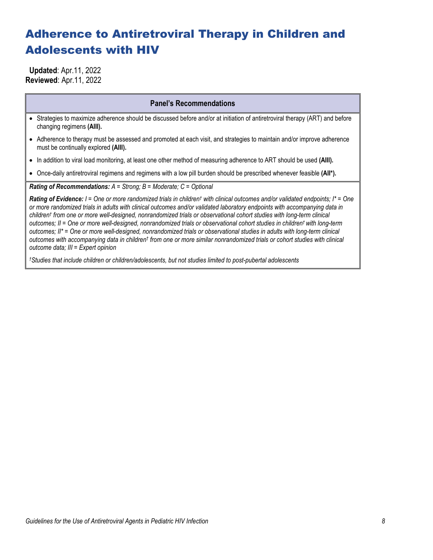## Adherence to Antiretroviral Therapy in Children and Adolescents with HIV

 **Updated**: Apr.11, 2022 **Reviewed**: Apr.11, 2022

#### **Panel's Recommendations**

• Strategies to maximize adherence should be discussed before and/or at initiation of antiretroviral therapy (ART) and before changing regimens **(AIII).**

- Adherence to therapy must be assessed and promoted at each visit, and strategies to maintain and/or improve adherence must be continually explored **(AIII).**
- In addition to viral load monitoring, at least one other method of measuring adherence to ART should be used **(AIII).**
- Once-daily antiretroviral regimens and regimens with a low pill burden should be prescribed whenever feasible **(AII\*).**

*Rating of Recommendations: A = Strong; B = Moderate; C = Optional*

*Rating of Evidence: I = One or more randomized trials in children† with clinical outcomes and/or validated endpoints; I\* = One or more randomized trials in adults with clinical outcomes and/or validated laboratory endpoints with accompanying data in children† from one or more well-designed, nonrandomized trials or observational cohort studies with long-term clinical outcomes; II = One or more well-designed, nonrandomized trials or observational cohort studies in children† with long-term outcomes; II\* = One or more well-designed, nonrandomized trials or observational studies in adults with long-term clinical outcomes with accompanying data in children† from one or more similar nonrandomized trials or cohort studies with clinical outcome data; III = Expert opinion*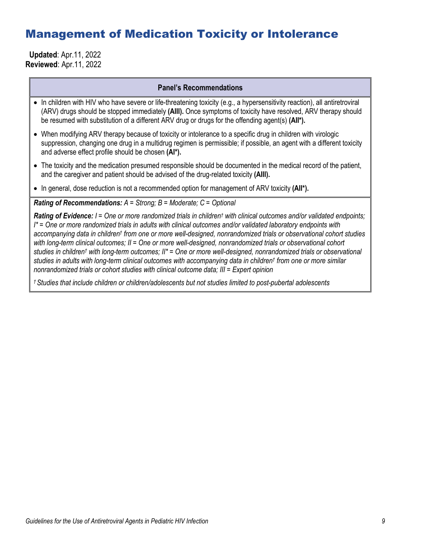### Management of Medication Toxicity or Intolerance

 **Updated**: Apr.11, 2022 **Reviewed**: Apr.11, 2022

#### **Panel's Recommendations**

- In children with HIV who have severe or life-threatening toxicity (e.g., a hypersensitivity reaction), all antiretroviral (ARV) drugs should be stopped immediately **(AIII).** Once symptoms of toxicity have resolved, ARV therapy should be resumed with substitution of a different ARV drug or drugs for the offending agent(s) **(AII\*).**
- When modifying ARV therapy because of toxicity or intolerance to a specific drug in children with virologic suppression, changing one drug in a multidrug regimen is permissible; if possible, an agent with a different toxicity and adverse effect profile should be chosen **(AI\*).**
- The toxicity and the medication presumed responsible should be documented in the medical record of the patient, and the caregiver and patient should be advised of the drug-related toxicity **(AIII).**
- In general, dose reduction is not a recommended option for management of ARV toxicity **(AII\*).**

### *Rating of Recommendations: A = Strong; B = Moderate; C = Optional*

*Rating of Evidence: I = One or more randomized trials in children† with clinical outcomes and/or validated endpoints; I\* = One or more randomized trials in adults with clinical outcomes and/or validated laboratory endpoints with accompanying data in children† from one or more well-designed, nonrandomized trials or observational cohort studies with long-term clinical outcomes; II = One or more well-designed, nonrandomized trials or observational cohort studies in children† with long-term outcomes; II\* = One or more well-designed, nonrandomized trials or observational studies in adults with long-term clinical outcomes with accompanying data in children† from one or more similar nonrandomized trials or cohort studies with clinical outcome data; III = Expert opinion*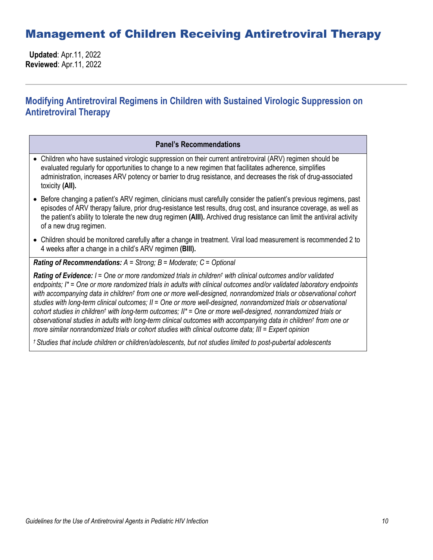### Management of Children Receiving Antiretroviral Therapy

 **Updated**: Apr.11, 2022 **Reviewed**: Apr.11, 2022

### **Modifying Antiretroviral Regimens in Children with Sustained Virologic Suppression on Antiretroviral Therapy**

#### **Panel's Recommendations**

- Children who have sustained virologic suppression on their current antiretroviral (ARV) regimen should be evaluated regularly for opportunities to change to a new regimen that facilitates adherence, simplifies administration, increases ARV potency or barrier to drug resistance, and decreases the risk of drug-associated toxicity **(AII).**
- Before changing a patient's ARV regimen, clinicians must carefully consider the patient's previous regimens, past episodes of ARV therapy failure, prior drug-resistance test results, drug cost, and insurance coverage, as well as the patient's ability to tolerate the new drug regimen **(AIII).** Archived drug resistance can limit the antiviral activity of a new drug regimen.
- Children should be monitored carefully after a change in treatment. Viral load measurement is recommended 2 to 4 weeks after a change in a child's ARV regimen **(BIII).**

### *Rating of Recommendations: A = Strong; B = Moderate; C = Optional*

*Rating of Evidence: I = One or more randomized trials in children† with clinical outcomes and/or validated endpoints; I\* = One or more randomized trials in adults with clinical outcomes and/or validated laboratory endpoints with accompanying data in children† from one or more well-designed, nonrandomized trials or observational cohort studies with long-term clinical outcomes; II = One or more well-designed, nonrandomized trials or observational cohort studies in children† with long-term outcomes; II\* = One or more well-designed, nonrandomized trials or observational studies in adults with long-term clinical outcomes with accompanying data in children† from one or more similar nonrandomized trials or cohort studies with clinical outcome data; III = Expert opinion*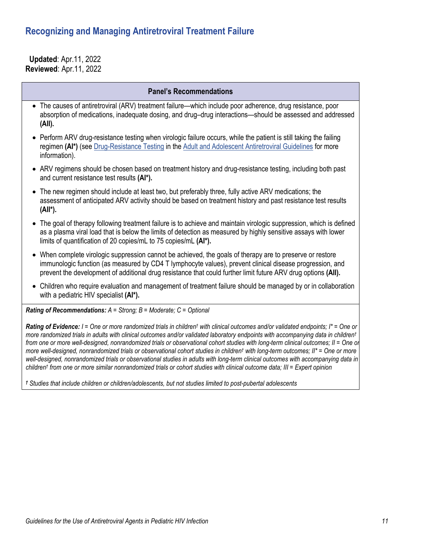### **Recognizing and Managing Antiretroviral Treatment Failure**

 **Updated**: Apr.11, 2022 **Reviewed**: Apr.11, 2022

#### **Panel's Recommendations**

- The causes of antiretroviral (ARV) treatment failure—which include poor adherence, drug resistance, poor absorption of medications, inadequate dosing, and drug–drug interactions—should be assessed and addressed **(AII).**
- Perform ARV drug-resistance testing when virologic failure occurs, while the patient is still taking the failing regimen **(AI\*)** (se[e Drug-Resistance Testing](https://clinicalinfo.hiv.gov/en/guidelines/adult-and-adolescent-arv/drug-resistance-testing) in the [Adult and Adolescent Antiretroviral Guidelines](https://clinicalinfo.hiv.gov/en/guidelines/adult-and-adolescent-arv/whats-new-guidelines?view=full) for more information).
- ARV regimens should be chosen based on treatment history and drug-resistance testing, including both past and current resistance test results **(AI\*).**
- The new regimen should include at least two, but preferably three, fully active ARV medications; the assessment of anticipated ARV activity should be based on treatment history and past resistance test results **(AII\*).**
- The goal of therapy following treatment failure is to achieve and maintain virologic suppression, which is defined as a plasma viral load that is below the limits of detection as measured by highly sensitive assays with lower limits of quantification of 20 copies/mL to 75 copies/mL **(AI\*).**
- When complete virologic suppression cannot be achieved, the goals of therapy are to preserve or restore immunologic function (as measured by CD4 T lymphocyte values), prevent clinical disease progression, and prevent the development of additional drug resistance that could further limit future ARV drug options **(AII).**
- Children who require evaluation and management of treatment failure should be managed by or in collaboration with a pediatric HIV specialist **(AI\*).**

*Rating of Recommendations: A = Strong; B = Moderate; C = Optional*

*Rating of Evidence: I = One or more randomized trials in children† with clinical outcomes and/or validated endpoints; I\* = One or more randomized trials in adults with clinical outcomes and/or validated laboratory endpoints with accompanying data in children† from one or more well-designed, nonrandomized trials or observational cohort studies with long-term clinical outcomes; II = One or more well-designed, nonrandomized trials or observational cohort studies in children† with long-term outcomes; II\* = One or more well-designed, nonrandomized trials or observational studies in adults with long-term clinical outcomes with accompanying data in children† from one or more similar nonrandomized trials or cohort studies with clinical outcome data; III = Expert opinion*